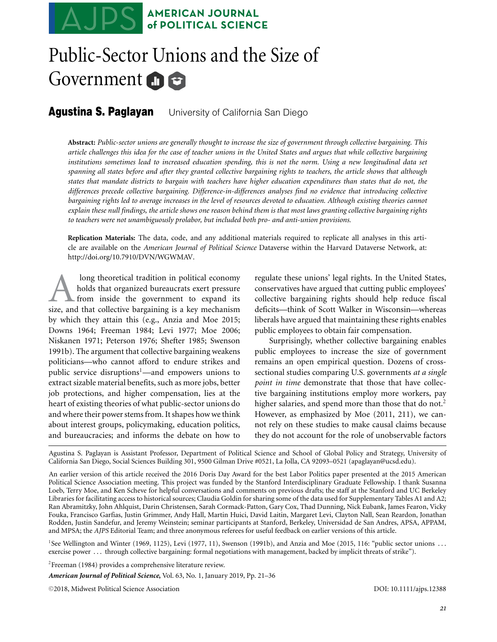## **AMERICAN JOURNAL** of POLITICAL SCIENCE

# Public-Sector Unions and the Size of Government **n**

## **Agustina S. Paglayan** University of California San Diego

**Abstract:** *Public-sector unions are generally thought to increase the size of government through collective bargaining. This article challenges this idea for the case of teacher unions in the United States and argues that while collective bargaining institutions sometimes lead to increased education spending, this is not the norm. Using a new longitudinal data set spanning all states before and after they granted collective bargaining rights to teachers, the article shows that although states that mandate districts to bargain with teachers have higher education expenditures than states that do not, the differences precede collective bargaining. Difference-in-differences analyses find no evidence that introducing collective bargaining rights led to average increases in the level of resources devoted to education. Although existing theories cannot explain these null findings, the article shows one reason behind them is that most laws granting collective bargaining rights to teachers were not unambiguously prolabor, but included both pro- and anti-union provisions.*

**Replication Materials:** The data, code, and any additional materials required to replicate all analyses in this article are available on the *American Journal of Political Science* Dataverse within the Harvard Dataverse Network, at: [http://doi.org/10.7910/DVN/WGWMAV.](http://doi.org/10.7910/DVN/WGWMAV)

long theoretical tradition in political economy<br>holds that organized bureaucrats exert pressure<br>from inside the government to expand its<br>size, and that collective bargaining is a key mechanism holds that organized bureaucrats exert pressure from inside the government to expand its size, and that collective bargaining is a key mechanism by which they attain this (e.g., Anzia and Moe 2015; Downs 1964; Freeman 1984; Levi 1977; Moe 2006; Niskanen 1971; Peterson 1976; Shefter 1985; Swenson 1991b). The argument that collective bargaining weakens politicians—who cannot afford to endure strikes and public service disruptions<sup>1</sup>—and empowers unions to extract sizable material benefits, such as more jobs, better job protections, and higher compensation, lies at the heart of existing theories of what public-sector unions do and where their power stems from. It shapes how we think about interest groups, policymaking, education politics, and bureaucracies; and informs the debate on how to

regulate these unions' legal rights. In the United States, conservatives have argued that cutting public employees' collective bargaining rights should help reduce fiscal deficits—think of Scott Walker in Wisconsin—whereas liberals have argued that maintaining these rights enables public employees to obtain fair compensation.

Surprisingly, whether collective bargaining enables public employees to increase the size of government remains an open empirical question. Dozens of crosssectional studies comparing U.S. governments *at a single point in time* demonstrate that those that have collective bargaining institutions employ more workers, pay higher salaries, and spend more than those that do not.<sup>2</sup> However, as emphasized by Moe (2011, 211), we cannot rely on these studies to make causal claims because they do not account for the role of unobservable factors

Agustina S. Paglayan is Assistant Professor, Department of Political Science and School of Global Policy and Strategy, University of California San Diego, Social Sciences Building 301, 9500 Gilman Drive #0521, La Jolla, CA 92093–0521 (apaglayan@ucsd.edu).

An earlier version of this article received the 2016 Doris Day Award for the best Labor Politics paper presented at the 2015 American Political Science Association meeting. This project was funded by the Stanford Interdisciplinary Graduate Fellowship. I thank Susanna Loeb, Terry Moe, and Ken Scheve for helpful conversations and comments on previous drafts; the staff at the Stanford and UC Berkeley Libraries for facilitating access to historical sources; Claudia Goldin for sharing some of the data used for Supplementary Tables A1 and A2; Ran Abramitzky, John Ahlquist, Darin Christensen, Sarah Cormack-Patton, Gary Cox, Thad Dunning, Nick Eubank, James Fearon, Vicky Fouka, Francisco Garfias, Justin Grimmer, Andy Hall, Martin Huici, David Laitin, Margaret Levi, Clayton Nall, Sean Reardon, Jonathan Rodden, Justin Sandefur, and Jeremy Weinstein; seminar participants at Stanford, Berkeley, Universidad de San Andres, APSA, APPAM, and MPSA; the *AJPS* Editorial Team; and three anonymous referees for useful feedback on earlier versions of this article.

<sup>1</sup>See Wellington and Winter (1969, 1125), Levi (1977, 11), Swenson (1991b), and Anzia and Moe (2015, 116: "public sector unions ... exercise power ... through collective bargaining: formal negotiations with management, backed by implicit threats of strike").

2Freeman (1984) provides a comprehensive literature review.

*American Journal of Political Science***,** Vol. 63, No. 1, January 2019, Pp. 21–36

-<sup>C</sup> 2018, Midwest Political Science Association DOI: 10.1111/ajps.12388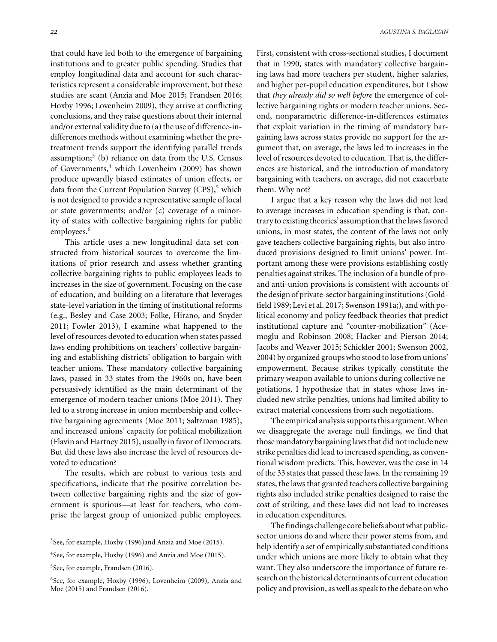that could have led both to the emergence of bargaining institutions and to greater public spending. Studies that employ longitudinal data and account for such characteristics represent a considerable improvement, but these studies are scant (Anzia and Moe 2015; Frandsen 2016; Hoxby 1996; Lovenheim 2009), they arrive at conflicting conclusions, and they raise questions about their internal and/or external validity due to (a) the use of difference-indifferences methods without examining whether the pretreatment trends support the identifying parallel trends assumption; $3$  (b) reliance on data from the U.S. Census of Governments, $4$  which Lovenheim (2009) has shown produce upwardly biased estimates of union effects, or data from the Current Population Survey (CPS),<sup>5</sup> which is not designed to provide a representative sample of local or state governments; and/or (c) coverage of a minority of states with collective bargaining rights for public employees.<sup>6</sup>

This article uses a new longitudinal data set constructed from historical sources to overcome the limitations of prior research and assess whether granting collective bargaining rights to public employees leads to increases in the size of government. Focusing on the case of education, and building on a literature that leverages state-level variation in the timing of institutional reforms (e.g., Besley and Case 2003; Folke, Hirano, and Snyder 2011; Fowler 2013), I examine what happened to the level of resources devoted to education when states passed laws ending prohibitions on teachers' collective bargaining and establishing districts' obligation to bargain with teacher unions. These mandatory collective bargaining laws, passed in 33 states from the 1960s on, have been persuasively identified as the main determinant of the emergence of modern teacher unions (Moe 2011). They led to a strong increase in union membership and collective bargaining agreements (Moe 2011; Saltzman 1985), and increased unions' capacity for political mobilization (Flavin and Hartney 2015), usually in favor of Democrats. But did these laws also increase the level of resources devoted to education?

The results, which are robust to various tests and specifications, indicate that the positive correlation between collective bargaining rights and the size of government is spurious—at least for teachers, who comprise the largest group of unionized public employees.

<sup>3</sup>See, for example, Hoxby (1996)and Anzia and Moe (2015).

4See, for example, Hoxby (1996) and Anzia and Moe (2015).

<sup>5</sup>See, for example, Frandsen (2016).

<sup>6</sup>See, for example, Hoxby (1996), Lovenheim (2009), Anzia and Moe (2015) and Frandsen (2016).

First, consistent with cross-sectional studies, I document that in 1990, states with mandatory collective bargaining laws had more teachers per student, higher salaries, and higher per-pupil education expenditures, but I show that *they already did so well before* the emergence of collective bargaining rights or modern teacher unions. Second, nonparametric difference-in-differences estimates that exploit variation in the timing of mandatory bargaining laws across states provide no support for the argument that, on average, the laws led to increases in the level of resources devoted to education. That is, the differences are historical, and the introduction of mandatory bargaining with teachers, on average, did not exacerbate them. Why not?

I argue that a key reason why the laws did not lead to average increases in education spending is that, contrary to existing theories' assumption that the lawsfavored unions, in most states, the content of the laws not only gave teachers collective bargaining rights, but also introduced provisions designed to limit unions' power. Important among these were provisions establishing costly penalties against strikes. The inclusion of a bundle of proand anti-union provisions is consistent with accounts of the design of private-sector bargaininginstitutions (Goldfield 1989; Levi et al. 2017; Swenson 1991a;), and with political economy and policy feedback theories that predict institutional capture and "counter-mobilization" (Acemoglu and Robinson 2008; Hacker and Pierson 2014; Jacobs and Weaver 2015; Schickler 2001; Swenson 2002, 2004) by organized groups who stood to lose from unions' empowerment. Because strikes typically constitute the primary weapon available to unions during collective negotiations, I hypothesize that in states whose laws included new strike penalties, unions had limited ability to extract material concessions from such negotiations.

The empirical analysis supports this argument.When we disaggregate the average null findings, we find that those mandatory bargaining laws that did not include new strike penalties did lead to increased spending, as conventional wisdom predicts. This, however, was the case in 14 of the 33 states that passed these laws. In the remaining 19 states, the laws that granted teachers collective bargaining rights also included strike penalties designed to raise the cost of striking, and these laws did not lead to increases in education expenditures.

The findings challenge core beliefs about what publicsector unions do and where their power stems from, and help identify a set of empirically substantiated conditions under which unions are more likely to obtain what they want. They also underscore the importance of future research on the historical determinants of current education policy and provision, as well as speak to the debate on who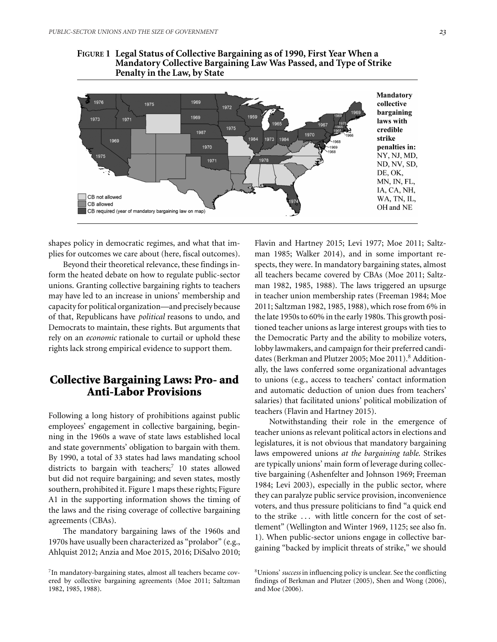

**FIGURE 1 Legal Status of Collective Bargaining as of 1990, First Year When a Mandatory Collective Bargaining Law Was Passed, and Type of Strike**

shapes policy in democratic regimes, and what that implies for outcomes we care about (here, fiscal outcomes).

Beyond their theoretical relevance, these findings inform the heated debate on how to regulate public-sector unions. Granting collective bargaining rights to teachers may have led to an increase in unions' membership and capacityfor political organization—and precisely because of that, Republicans have *political* reasons to undo, and Democrats to maintain, these rights. But arguments that rely on an *economic* rationale to curtail or uphold these rights lack strong empirical evidence to support them.

## **Collective Bargaining Laws: Pro- and Anti-Labor Provisions**

Following a long history of prohibitions against public employees' engagement in collective bargaining, beginning in the 1960s a wave of state laws established local and state governments' obligation to bargain with them. By 1990, a total of 33 states had laws mandating school districts to bargain with teachers;<sup>7</sup> 10 states allowed but did not require bargaining; and seven states, mostly southern, prohibited it. Figure 1 maps these rights; Figure A1 in the supporting information shows the timing of the laws and the rising coverage of collective bargaining agreements (CBAs).

The mandatory bargaining laws of the 1960s and 1970s have usually been characterized as "prolabor" (e.g., Ahlquist 2012; Anzia and Moe 2015, 2016; DiSalvo 2010; Flavin and Hartney 2015; Levi 1977; Moe 2011; Saltzman 1985; Walker 2014), and in some important respects, they were. In mandatory bargaining states, almost all teachers became covered by CBAs (Moe 2011; Saltzman 1982, 1985, 1988). The laws triggered an upsurge in teacher union membership rates (Freeman 1984; Moe 2011; Saltzman 1982, 1985, 1988), which rose from 6% in the late 1950s to 60% in the early 1980s. This growth positioned teacher unions as large interest groups with ties to the Democratic Party and the ability to mobilize voters, lobby lawmakers, and campaign for their preferred candidates (Berkman and Plutzer 2005; Moe 2011).<sup>8</sup> Additionally, the laws conferred some organizational advantages to unions (e.g., access to teachers' contact information and automatic deduction of union dues from teachers' salaries) that facilitated unions' political mobilization of teachers (Flavin and Hartney 2015).

Notwithstanding their role in the emergence of teacher unions as relevant political actors in elections and legislatures, it is not obvious that mandatory bargaining laws empowered unions *at the bargaining table*. Strikes are typically unions' main form of leverage during collective bargaining (Ashenfelter and Johnson 1969; Freeman 1984; Levi 2003), especially in the public sector, where they can paralyze public service provision, inconvenience voters, and thus pressure politicians to find "a quick end to the strike ... with little concern for the cost of settlement" (Wellington and Winter 1969, 1125; see also fn. 1). When public-sector unions engage in collective bargaining "backed by implicit threats of strike," we should

<sup>&</sup>lt;sup>7</sup>In mandatory-bargaining states, almost all teachers became covered by collective bargaining agreements (Moe 2011; Saltzman 1982, 1985, 1988).

<sup>8</sup>Unions' *success* in influencing policy is unclear. See the conflicting findings of Berkman and Plutzer (2005), Shen and Wong (2006), and Moe (2006).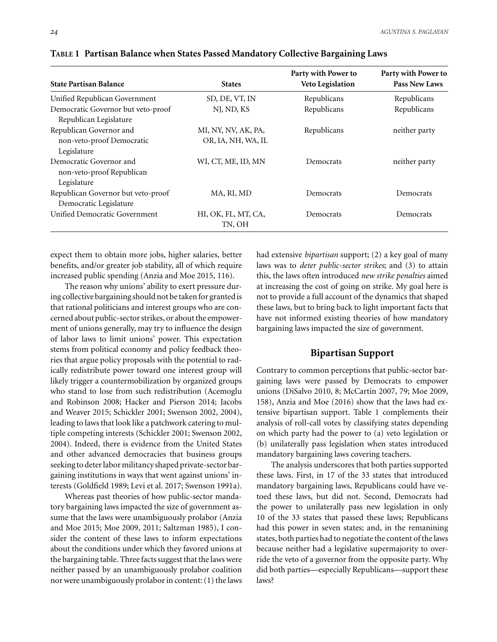| <b>State Partisan Balance</b>                                       | <b>States</b>                             | Party with Power to<br>Veto Legislation | Party with Power to<br>Pass New Laws |
|---------------------------------------------------------------------|-------------------------------------------|-----------------------------------------|--------------------------------------|
| Unified Republican Government                                       | SD, DE, VT, IN                            | Republicans                             | Republicans                          |
| Democratic Governor but veto-proof<br>Republican Legislature        | NJ, ND, KS                                | Republicans                             | Republicans                          |
| Republican Governor and<br>non-veto-proof Democratic<br>Legislature | MI, NY, NV, AK, PA,<br>OR, IA, NH, WA, IL | Republicans                             | neither party                        |
| Democratic Governor and<br>non-veto-proof Republican<br>Legislature | WI, CT, ME, ID, MN                        | Democrats                               | neither party                        |
| Republican Governor but veto-proof<br>Democratic Legislature        | MA, RI, MD                                | Democrats                               | Democrats                            |
| Unified Democratic Government                                       | HI, OK, FL, MT, CA,<br>TN, OH             | Democrats                               | Democrats                            |

**TABLE 1 Partisan Balance when States Passed Mandatory Collective Bargaining Laws**

expect them to obtain more jobs, higher salaries, better benefits, and/or greater job stability, all of which require increased public spending (Anzia and Moe 2015, 116).

The reason why unions' ability to exert pressure during collective bargaining should not be taken for granted is that rational politicians and interest groups who are concerned about public-sector strikes, or about the empowerment of unions generally, may try to influence the design of labor laws to limit unions' power. This expectation stems from political economy and policy feedback theories that argue policy proposals with the potential to radically redistribute power toward one interest group will likely trigger a countermobilization by organized groups who stand to lose from such redistribution (Acemoglu and Robinson 2008; Hacker and Pierson 2014; Jacobs and Weaver 2015; Schickler 2001; Swenson 2002, 2004), leading to laws that look like a patchwork catering to multiple competing interests (Schickler 2001; Swenson 2002, 2004). Indeed, there is evidence from the United States and other advanced democracies that business groups seeking to deter labor militancy shaped private-sector bargaining institutions in ways that went against unions' interests (Goldfield 1989; Levi et al. 2017; Swenson 1991a).

Whereas past theories of how public-sector mandatory bargaining laws impacted the size of government assume that the laws were unambiguously prolabor (Anzia and Moe 2015; Moe 2009, 2011; Saltzman 1985), I consider the content of these laws to inform expectations about the conditions under which they favored unions at the bargaining table. Three facts suggest that the laws were neither passed by an unambiguously prolabor coalition nor were unambiguously prolabor in content: (1) the laws had extensive *bipartisan* support; (2) a key goal of many laws was to *deter public-sector strikes*; and (3) to attain this, the laws often introduced *new strike penalties* aimed at increasing the cost of going on strike. My goal here is not to provide a full account of the dynamics that shaped these laws, but to bring back to light important facts that have not informed existing theories of how mandatory bargaining laws impacted the size of government.

#### **Bipartisan Support**

Contrary to common perceptions that public-sector bargaining laws were passed by Democrats to empower unions (DiSalvo 2010, 8; McCartin 2007, 79; Moe 2009, 158), Anzia and Moe (2016) show that the laws had extensive bipartisan support. Table 1 complements their analysis of roll-call votes by classifying states depending on which party had the power to (a) veto legislation or (b) unilaterally pass legislation when states introduced mandatory bargaining laws covering teachers.

The analysis underscores that both parties supported these laws. First, in 17 of the 33 states that introduced mandatory bargaining laws, Republicans could have vetoed these laws, but did not. Second, Democrats had the power to unilaterally pass new legislation in only 10 of the 33 states that passed these laws; Republicans had this power in seven states; and, in the remanining states, both parties had to negotiate the content of the laws because neither had a legislative supermajority to override the veto of a governor from the opposite party. Why did both parties—especially Republicans—support these laws?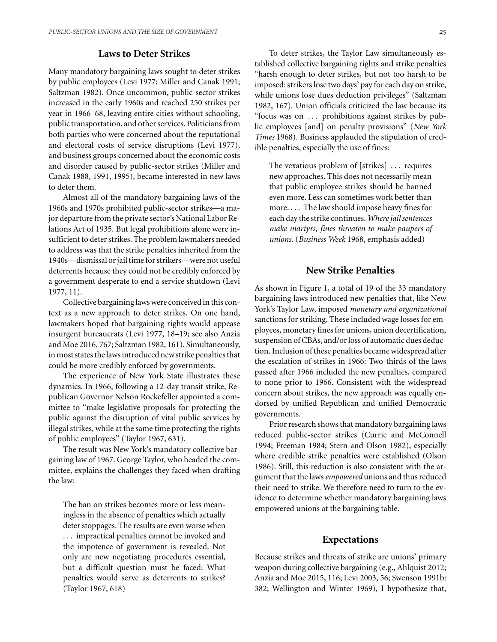#### **Laws to Deter Strikes**

Many mandatory bargaining laws sought to deter strikes by public employees (Levi 1977; Miller and Canak 1991; Saltzman 1982). Once uncommon, public-sector strikes increased in the early 1960s and reached 250 strikes per year in 1966–68, leaving entire cities without schooling, public transportation, and other services. Politicians from both parties who were concerned about the reputational and electoral costs of service disruptions (Levi 1977), and business groups concerned about the economic costs and disorder caused by public-sector strikes (Miller and Canak 1988, 1991, 1995), became interested in new laws to deter them.

Almost all of the mandatory bargaining laws of the 1960s and 1970s prohibited public-sector strikes—a major departure from the private sector's National Labor Relations Act of 1935. But legal prohibitions alone were insufficient to deter strikes. The problem lawmakers needed to address was that the strike penalties inherited from the 1940s—dismissal or jail timefor strikers—were not useful deterrents because they could not be credibly enforced by a government desperate to end a service shutdown (Levi 1977, 11).

Collective bargaining laws were conceived in this context as a new approach to deter strikes. On one hand, lawmakers hoped that bargaining rights would appease insurgent bureaucrats (Levi 1977, 18–19; see also Anzia and Moe 2016, 767; Saltzman 1982, 161). Simultaneously, inmost states the laws introduced new strike penalties that could be more credibly enforced by governments.

The experience of New York State illustrates these dynamics. In 1966, following a 12-day transit strike, Republican Governor Nelson Rockefeller appointed a committee to "make legislative proposals for protecting the public against the disruption of vital public services by illegal strikes, while at the same time protecting the rights of public employees" (Taylor 1967, 631).

The result was New York's mandatory collective bargaining law of 1967. George Taylor, who headed the committee, explains the challenges they faced when drafting the law:

The ban on strikes becomes more or less meaningless in the absence of penalties which actually deter stoppages. The results are even worse when . . . impractical penalties cannot be invoked and the impotence of government is revealed. Not only are new negotiating procedures essential, but a difficult question must be faced: What penalties would serve as deterrents to strikes? (Taylor 1967, 618)

To deter strikes, the Taylor Law simultaneously established collective bargaining rights and strike penalties "harsh enough to deter strikes, but not too harsh to be imposed: strikers lose two days' pay for each day on strike, while unions lose dues deduction privileges" (Saltzman 1982, 167). Union officials criticized the law because its "focus was on . . . prohibitions against strikes by public employees [and] on penalty provisions" (*New York Times* 1968). Business applauded the stipulation of credible penalties, especially the use of fines:

The vexatious problem of [strikes] . . . requires new approaches. This does not necessarily mean that public employee strikes should be banned even more. Less can sometimes work better than more. . . . The law should impose heavy fines for each day the strike continues.*Where jail sentences make martyrs, fines threaten to make paupers of unions*. (*Business Week* 1968, emphasis added)

## **New Strike Penalties**

As shown in Figure 1, a total of 19 of the 33 mandatory bargaining laws introduced new penalties that, like New York's Taylor Law, imposed *monetary and organizational* sanctions for striking. These included wage losses for employees, monetary fines for unions, union decertification, suspension of CBAs, and/or loss of automatic dues deduction. Inclusion of these penalties became widespread after the escalation of strikes in 1966: Two-thirds of the laws passed after 1966 included the new penalties, compared to none prior to 1966. Consistent with the widespread concern about strikes, the new approach was equally endorsed by unified Republican and unified Democratic governments.

Prior research shows that mandatory bargaining laws reduced public-sector strikes (Currie and McConnell 1994; Freeman 1984; Stern and Olson 1982), especially where credible strike penalties were established (Olson 1986). Still, this reduction is also consistent with the argument that the laws*empowered* unions and thus reduced their need to strike. We therefore need to turn to the evidence to determine whether mandatory bargaining laws empowered unions at the bargaining table.

#### **Expectations**

Because strikes and threats of strike are unions' primary weapon during collective bargaining (e.g., Ahlquist 2012; Anzia and Moe 2015, 116; Levi 2003, 56; Swenson 1991b: 382; Wellington and Winter 1969), I hypothesize that,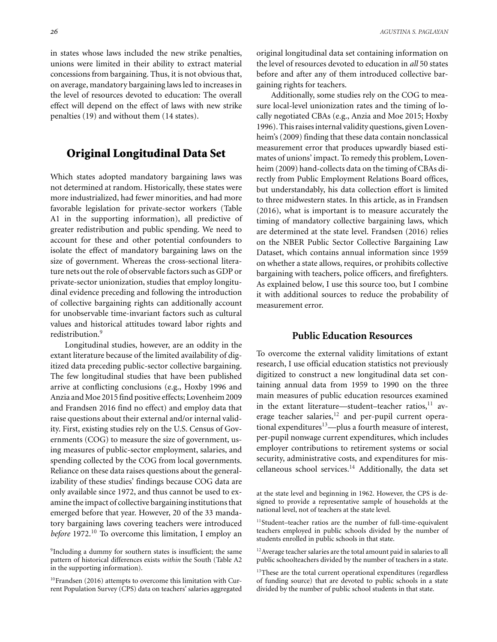in states whose laws included the new strike penalties, unions were limited in their ability to extract material concessions from bargaining. Thus, it is not obvious that, on average, mandatory bargaining laws led to increases in the level of resources devoted to education: The overall effect will depend on the effect of laws with new strike penalties (19) and without them (14 states).

## **Original Longitudinal Data Set**

Which states adopted mandatory bargaining laws was not determined at random. Historically, these states were more industrialized, had fewer minorities, and had more favorable legislation for private-sector workers (Table A1 in the supporting information), all predictive of greater redistribution and public spending. We need to account for these and other potential confounders to isolate the effect of mandatory bargaining laws on the size of government. Whereas the cross-sectional literature nets out the role of observable factors such as GDP or private-sector unionization, studies that employ longitudinal evidence preceding and following the introduction of collective bargaining rights can additionally account for unobservable time-invariant factors such as cultural values and historical attitudes toward labor rights and redistribution.<sup>9</sup>

Longitudinal studies, however, are an oddity in the extant literature because of the limited availability of digitized data preceding public-sector collective bargaining. The few longitudinal studies that have been published arrive at conflicting conclusions (e.g., Hoxby 1996 and Anzia and Moe 2015 find positive effects; Lovenheim 2009 and Frandsen 2016 find no effect) and employ data that raise questions about their external and/or internal validity. First, existing studies rely on the U.S. Census of Governments (COG) to measure the size of government, using measures of public-sector employment, salaries, and spending collected by the COG from local governments. Reliance on these data raises questions about the generalizability of these studies' findings because COG data are only available since 1972, and thus cannot be used to examine the impact of collective bargaining institutions that emerged before that year. However, 20 of the 33 mandatory bargaining laws covering teachers were introduced before 1972.<sup>10</sup> To overcome this limitation, I employ an

original longitudinal data set containing information on the level of resources devoted to education in *all* 50 states before and after any of them introduced collective bargaining rights for teachers.

Additionally, some studies rely on the COG to measure local-level unionization rates and the timing of locally negotiated CBAs (e.g., Anzia and Moe 2015; Hoxby 1996). This raises internal validity questions, given Lovenheim's (2009) finding that these data contain nonclassical measurement error that produces upwardly biased estimates of unions' impact. To remedy this problem, Lovenheim (2009) hand-collects data on the timing of CBAs directly from Public Employment Relations Board offices, but understandably, his data collection effort is limited to three midwestern states. In this article, as in Frandsen (2016), what is important is to measure accurately the timing of mandatory collective bargaining laws, which are determined at the state level. Frandsen (2016) relies on the NBER Public Sector Collective Bargaining Law Dataset, which contains annual information since 1959 on whether a state allows, requires, or prohibits collective bargaining with teachers, police officers, and firefighters. As explained below, I use this source too, but I combine it with additional sources to reduce the probability of measurement error.

## **Public Education Resources**

To overcome the external validity limitations of extant research, I use official education statistics not previously digitized to construct a new longitudinal data set containing annual data from 1959 to 1990 on the three main measures of public education resources examined in the extant literature—student–teacher ratios, $11$  average teacher salaries, $12$  and per-pupil current operational expenditures $13$ —plus a fourth measure of interest, per-pupil nonwage current expenditures, which includes employer contributions to retirement systems or social security, administrative costs, and expenditures for miscellaneous school services.<sup>14</sup> Additionally, the data set

<sup>9</sup>Including a dummy for southern states is insufficient; the same pattern of historical differences exists *within* the South (Table A2 in the supporting information).

 $10$ Frandsen (2016) attempts to overcome this limitation with Current Population Survey (CPS) data on teachers' salaries aggregated

at the state level and beginning in 1962. However, the CPS is designed to provide a representative sample of households at the national level, not of teachers at the state level.

<sup>11</sup>Student–teacher ratios are the number of full-time-equivalent teachers employed in public schools divided by the number of students enrolled in public schools in that state.

<sup>&</sup>lt;sup>12</sup> Average teacher salaries are the total amount paid in salaries to all public schoolteachers divided by the number of teachers in a state.

<sup>&</sup>lt;sup>13</sup>These are the total current operational expenditures (regardless of funding source) that are devoted to public schools in a state divided by the number of public school students in that state.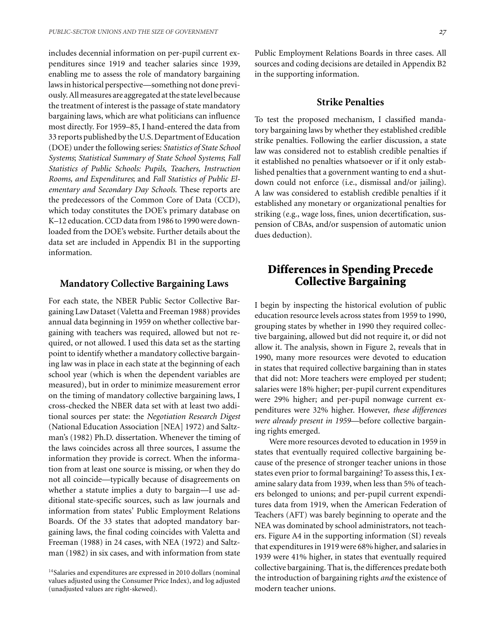includes decennial information on per-pupil current expenditures since 1919 and teacher salaries since 1939, enabling me to assess the role of mandatory bargaining laws in historical perspective—something not done previously. Allmeasures are aggregated at the state level because the treatment of interest is the passage of state mandatory bargaining laws, which are what politicians can influence most directly. For 1959–85, I hand-entered the data from 33 reports published by the U.S. Department of Education (DOE) under the following series: *Statistics of State School Systems*; *Statistical Summary of State School Systems*; *Fall Statistics of Public Schools: Pupils, Teachers, Instruction Rooms, and Expenditures*; and *Fall Statistics of Public Elementary and Secondary Day Schools*. These reports are the predecessors of the Common Core of Data (CCD), which today constitutes the DOE's primary database on K–12 education. CCD data from 1986 to 1990 were downloaded from the DOE's website. Further details about the data set are included in Appendix B1 in the supporting information.

## **Mandatory Collective Bargaining Laws**

For each state, the NBER Public Sector Collective Bargaining Law Dataset (Valetta and Freeman 1988) provides annual data beginning in 1959 on whether collective bargaining with teachers was required, allowed but not required, or not allowed. I used this data set as the starting point to identify whether a mandatory collective bargaining law was in place in each state at the beginning of each school year (which is when the dependent variables are measured), but in order to minimize measurement error on the timing of mandatory collective bargaining laws, I cross-checked the NBER data set with at least two additional sources per state: the *Negotiation Research Digest* (National Education Association [NEA] 1972) and Saltzman's (1982) Ph.D. dissertation. Whenever the timing of the laws coincides across all three sources, I assume the information they provide is correct. When the information from at least one source is missing, or when they do not all coincide—typically because of disagreements on whether a statute implies a duty to bargain—I use additional state-specific sources, such as law journals and information from states' Public Employment Relations Boards. Of the 33 states that adopted mandatory bargaining laws, the final coding coincides with Valetta and Freeman (1988) in 24 cases, with NEA (1972) and Saltzman (1982) in six cases, and with information from state

Public Employment Relations Boards in three cases. All sources and coding decisions are detailed in Appendix B2 in the supporting information.

#### **Strike Penalties**

To test the proposed mechanism, I classified mandatory bargaining laws by whether they established credible strike penalties. Following the earlier discussion, a state law was considered not to establish credible penalties if it established no penalties whatsoever or if it only established penalties that a government wanting to end a shutdown could not enforce (i.e., dismissal and/or jailing). A law was considered to establish credible penalties if it established any monetary or organizational penalties for striking (e.g., wage loss, fines, union decertification, suspension of CBAs, and/or suspension of automatic union dues deduction).

## **Differences in Spending Precede Collective Bargaining**

I begin by inspecting the historical evolution of public education resource levels across states from 1959 to 1990, grouping states by whether in 1990 they required collective bargaining, allowed but did not require it, or did not allow it. The analysis, shown in Figure 2, reveals that in 1990, many more resources were devoted to education in states that required collective bargaining than in states that did not: More teachers were employed per student; salaries were 18% higher; per-pupil current expenditures were 29% higher; and per-pupil nonwage current expenditures were 32% higher. However, *these differences were already present in 1959*—before collective bargaining rights emerged.

Were more resources devoted to education in 1959 in states that eventually required collective bargaining because of the presence of stronger teacher unions in those states even prior to formal bargaining? To assess this, I examine salary data from 1939, when less than 5% of teachers belonged to unions; and per-pupil current expenditures data from 1919, when the American Federation of Teachers (AFT) was barely beginning to operate and the NEA was dominated by school administrators, not teachers. Figure A4 in the supporting information (SI) reveals that expenditures in 1919 were 68% higher, and salaries in 1939 were 41% higher, in states that eventually required collective bargaining. That is, the differences predate both the introduction of bargaining rights *and* the existence of modern teacher unions.

<sup>&</sup>lt;sup>14</sup>Salaries and expenditures are expressed in 2010 dollars (nominal values adjusted using the Consumer Price Index), and log adjusted (unadjusted values are right-skewed).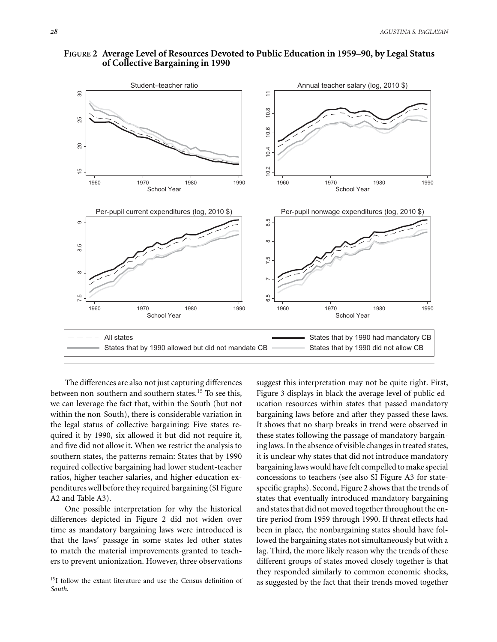## **FIGURE 2 Average Level of Resources Devoted to Public Education in 1959–90, by Legal Status of Collective Bargaining in 1990**



The differences are also not just capturing differences between non-southern and southern states.<sup>15</sup> To see this, we can leverage the fact that, within the South (but not within the non-South), there is considerable variation in the legal status of collective bargaining: Five states required it by 1990, six allowed it but did not require it, and five did not allow it. When we restrict the analysis to southern states, the patterns remain: States that by 1990 required collective bargaining had lower student-teacher ratios, higher teacher salaries, and higher education expenditures well before they required bargaining (SI Figure A2 and Table A3).

One possible interpretation for why the historical differences depicted in Figure 2 did not widen over time as mandatory bargaining laws were introduced is that the laws' passage in some states led other states to match the material improvements granted to teachers to prevent unionization. However, three observations

suggest this interpretation may not be quite right. First, Figure 3 displays in black the average level of public education resources within states that passed mandatory bargaining laws before and after they passed these laws. It shows that no sharp breaks in trend were observed in these states following the passage of mandatory bargaining laws. In the absence of visible changes in treated states, it is unclear why states that did not introduce mandatory bargaining laws would have felt compelled to make special concessions to teachers (see also SI Figure A3 for statespecific graphs). Second, Figure 2 shows that the trends of states that eventually introduced mandatory bargaining and states that did not moved together throughout the entire period from 1959 through 1990. If threat effects had been in place, the nonbargaining states should have followed the bargaining states not simultaneously but with a lag. Third, the more likely reason why the trends of these different groups of states moved closely together is that they responded similarly to common economic shocks, as suggested by the fact that their trends moved together

<sup>&</sup>lt;sup>15</sup>I follow the extant literature and use the Census definition of *South*.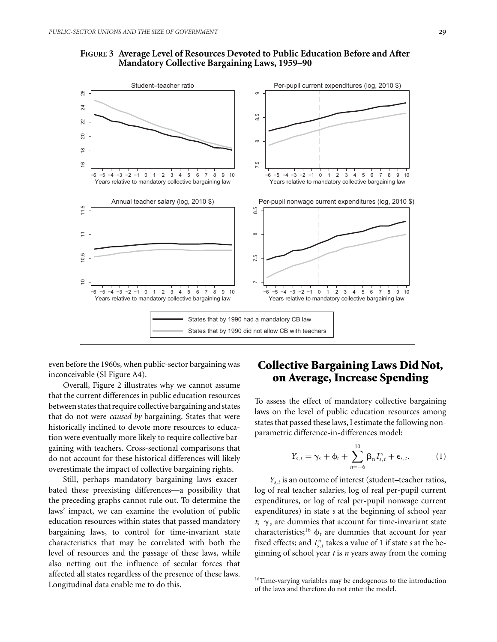



even before the 1960s, when public-sector bargaining was inconceivable (SI Figure A4).

Overall, Figure 2 illustrates why we cannot assume that the current differences in public education resources between states that require collective bargaining and states that do not were *caused by* bargaining. States that were historically inclined to devote more resources to education were eventually more likely to require collective bargaining with teachers. Cross-sectional comparisons that do not account for these historical differences will likely overestimate the impact of collective bargaining rights.

Still, perhaps mandatory bargaining laws exacerbated these preexisting differences—a possibility that the preceding graphs cannot rule out. To determine the laws' impact, we can examine the evolution of public education resources within states that passed mandatory bargaining laws, to control for time-invariant state characteristics that may be correlated with both the level of resources and the passage of these laws, while also netting out the influence of secular forces that affected all states regardless of the presence of these laws. Longitudinal data enable me to do this.

## **Collective Bargaining Laws Did Not, on Average, Increase Spending**

To assess the effect of mandatory collective bargaining laws on the level of public education resources among states that passed these laws, I estimate the following nonparametric difference-in-differences model:

$$
Y_{s,t} = \gamma_s + \phi_t + \sum_{n=-6}^{10} \beta_n I_{s,t}^n + \epsilon_{s,t}.
$$
 (1)

*Ys*,*<sup>t</sup>* is an outcome of interest (student–teacher ratios, log of real teacher salaries, log of real per-pupil current expenditures, or log of real per-pupil nonwage current expenditures) in state *s* at the beginning of school year  $t$ ;  $\gamma$ <sub>s</sub> are dummies that account for time-invariant state characteristics;<sup>16</sup>  $\phi_t$  are dummies that account for year fixed effects; and  $I_{s,t}^n$  takes a value of 1 if state *s* at the beginning of school year *t* is *n* years away from the coming

<sup>&</sup>lt;sup>16</sup>Time-varying variables may be endogenous to the introduction of the laws and therefore do not enter the model.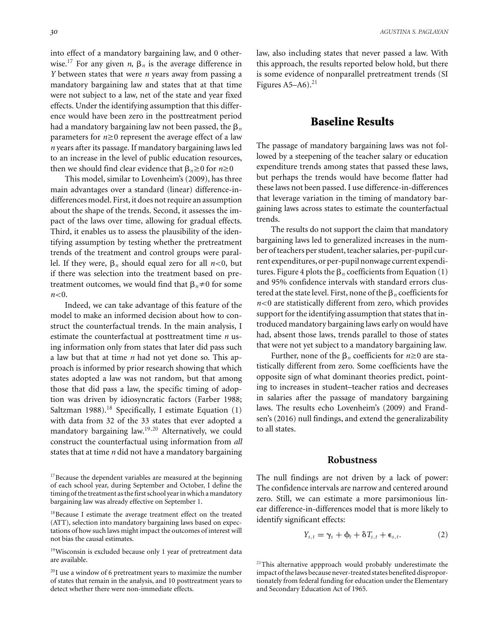into effect of a mandatory bargaining law, and 0 otherwise.<sup>17</sup> For any given  $n$ ,  $\beta_n$  is the average difference in *Y* between states that were *n* years away from passing a mandatory bargaining law and states that at that time were not subject to a law, net of the state and year fixed effects. Under the identifying assumption that this difference would have been zero in the posttreatment period had a mandatory bargaining law not been passed, the  $\beta_n$ parameters for  $n \geq 0$  represent the average effect of a law *n* years after its passage. If mandatory bargaining laws led to an increase in the level of public education resources, then we should find clear evidence that  $\beta_n \geq 0$  for  $n \geq 0$ 

This model, similar to Lovenheim's (2009), has three main advantages over a standard (linear) difference-indifferences model. First, it does not require an assumption about the shape of the trends. Second, it assesses the impact of the laws over time, allowing for gradual effects. Third, it enables us to assess the plausibility of the identifying assumption by testing whether the pretreatment trends of the treatment and control groups were parallel. If they were,  $\beta_n$  should equal zero for all  $n<0$ , but if there was selection into the treatment based on pretreatment outcomes, we would find that  $\beta_n \neq 0$  for some *n<*0.

Indeed, we can take advantage of this feature of the model to make an informed decision about how to construct the counterfactual trends. In the main analysis, I estimate the counterfactual at posttreatment time *n* using information only from states that later did pass such a law but that at time *n* had not yet done so. This approach is informed by prior research showing that which states adopted a law was not random, but that among those that did pass a law, the specific timing of adoption was driven by idiosyncratic factors (Farber 1988; Saltzman 1988).<sup>18</sup> Specifically, I estimate Equation  $(1)$ with data from 32 of the 33 states that ever adopted a mandatory bargaining law.19,20 Alternatively, we could construct the counterfactual using information from *all* states that at time *n* did not have a mandatory bargaining law, also including states that never passed a law. With this approach, the results reported below hold, but there is some evidence of nonparallel pretreatment trends (SI Figures  $A5-A6$ ).<sup>21</sup>

## **Baseline Results**

The passage of mandatory bargaining laws was not followed by a steepening of the teacher salary or education expenditure trends among states that passed these laws, but perhaps the trends would have become flatter had these laws not been passed. I use difference-in-differences that leverage variation in the timing of mandatory bargaining laws across states to estimate the counterfactual trends.

The results do not support the claim that mandatory bargaining laws led to generalized increases in the number of teachers per student, teacher salaries, per-pupil current expenditures, or per-pupil nonwage current expenditures. Figure 4 plots the  $\beta_n$  coefficients from Equation (1) and 95% confidence intervals with standard errors clustered at the state level. First, none of the  $\beta_n$  coefficients for *n<*0 are statistically different from zero, which provides support for the identifying assumption that states that introduced mandatory bargaining laws early on would have had, absent those laws, trends parallel to those of states that were not yet subject to a mandatory bargaining law.

Further, none of the  $\beta_n$  coefficients for  $n \geq 0$  are statistically different from zero. Some coefficients have the opposite sign of what dominant theories predict, pointing to increases in student–teacher ratios and decreases in salaries after the passage of mandatory bargaining laws. The results echo Lovenheim's (2009) and Frandsen's (2016) null findings, and extend the generalizability to all states.

#### **Robustness**

The null findings are not driven by a lack of power: The confidence intervals are narrow and centered around zero. Still, we can estimate a more parsimonious linear difference-in-differences model that is more likely to identify significant effects:

$$
Y_{s,t} = \gamma_s + \phi_t + \delta T_{s,t} + \epsilon_{s,t}.
$$
 (2)

<sup>&</sup>lt;sup>17</sup>Because the dependent variables are measured at the beginning of each school year, during September and October, I define the timing of the treatment as the first school year in which a mandatory bargaining law was already effective on September 1.

<sup>&</sup>lt;sup>18</sup>Because I estimate the average treatment effect on the treated (ATT), selection into mandatory bargaining laws based on expectations of how such laws might impact the outcomes of interest will not bias the causal estimates.

<sup>&</sup>lt;sup>19</sup>Wisconsin is excluded because only 1 year of pretreatment data are available.

 $20$ I use a window of 6 pretreatment years to maximize the number of states that remain in the analysis, and 10 posttreatment years to detect whether there were non-immediate effects.

<sup>&</sup>lt;sup>21</sup>This alternative appproach would probably underestimate the impact of the laws because never-treated states benefited disproportionately from federal funding for education under the Elementary and Secondary Education Act of 1965.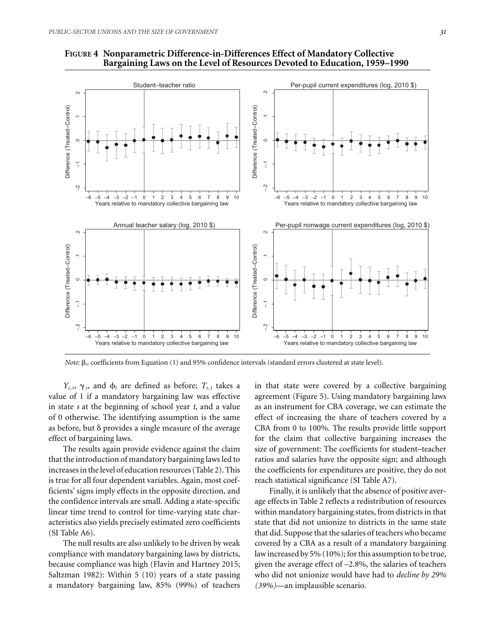



*Note*:  $\beta_n$  coefficients from Equation (1) and 95% confidence intervals (standard errors clustered at state level).

 $Y_{s,t}$ ,  $\gamma_s$ , and  $\phi_t$  are defined as before;  $T_{s,t}$  takes a value of 1 if a mandatory bargaining law was effective in state *s* at the beginning of school year *t*, and a value of 0 otherwise. The identifying assumption is the same as before, but  $\delta$  provides a single measure of the average effect of bargaining laws.

The results again provide evidence against the claim that the introduction of mandatory bargaining laws led to increases in the level of education resources (Table 2). This is true for all four dependent variables. Again, most coefficients' signs imply effects in the opposite direction, and the confidence intervals are small. Adding a state-specific linear time trend to control for time-varying state characteristics also yields precisely estimated zero coefficients (SI Table A6).

The null results are also unlikely to be driven by weak compliance with mandatory bargaining laws by districts, because compliance was high (Flavin and Hartney 2015; Saltzman 1982): Within 5 (10) years of a state passing a mandatory bargaining law, 85% (99%) of teachers in that state were covered by a collective bargaining agreement (Figure 5). Using mandatory bargaining laws as an instrument for CBA coverage, we can estimate the effect of increasing the share of teachers covered by a CBA from 0 to 100%. The results provide little support for the claim that collective bargaining increases the size of government: The coefficients for student–teacher ratios and salaries have the opposite sign; and although the coefficients for expenditures are positive, they do not reach statistical significance (SI Table A7).

Finally, it is unlikely that the absence of positive average effects in Table 2 reflects a redistribution of resources within mandatory bargaining states, from districts in that state that did not unionize to districts in the same state that did. Suppose that the salaries of teachers who became covered by a CBA as a result of a mandatory bargaining law increased by 5% (10%); for this assumption to be true, given the average effect of –2.8%, the salaries of teachers who did not unionize would have had to *decline by 29% (39%)*—an implausible scenario.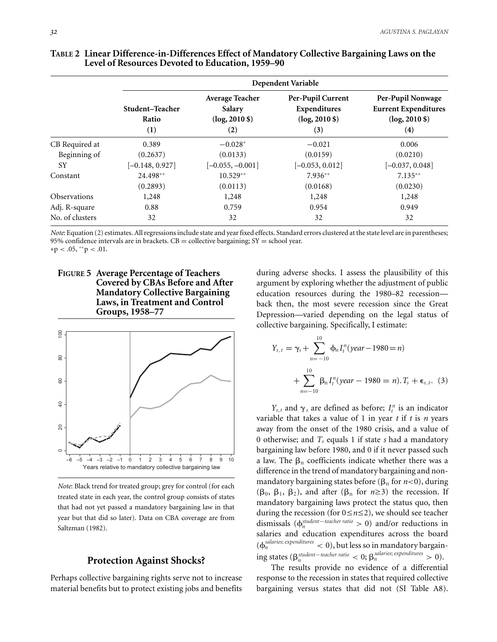|                     | Dependent Variable              |                                                                                 |                                                                                         |                                                                                                 |  |  |
|---------------------|---------------------------------|---------------------------------------------------------------------------------|-----------------------------------------------------------------------------------------|-------------------------------------------------------------------------------------------------|--|--|
|                     | Student-Teacher<br>Ratio<br>(1) | Average Teacher<br>Salary<br>$(log, 2010 \text{ } \text{\textsterling})$<br>(2) | Per-Pupil Current<br>Expenditures<br>$(log, 2010 \text{ } \text{\textsterling})$<br>(3) | Per-Pupil Nonwage<br><b>Eurrent Expenditures</b><br>$(log, 2010 \text{$ })<br>$\left( 4\right)$ |  |  |
| CB Required at      | 0.389                           | $-0.028*$                                                                       | $-0.021$                                                                                | 0.006                                                                                           |  |  |
| Beginning of        | (0.2637)                        | (0.0133)                                                                        | (0.0159)                                                                                | (0.0210)                                                                                        |  |  |
| <b>SY</b>           | $[-0.148, 0.927]$               | $[-0.055, -0.001]$                                                              | $[-0.053, 0.012]$                                                                       | $[-0.037, 0.048]$                                                                               |  |  |
| Constant            | 24.498**                        | $10.529**$                                                                      | $7.936**$                                                                               | $7.135***$                                                                                      |  |  |
|                     | (0.2893)                        | (0.0113)                                                                        | (0.0168)                                                                                | (0.0230)                                                                                        |  |  |
| <b>Observations</b> | 1,248                           | 1,248                                                                           | 1,248                                                                                   | 1,248                                                                                           |  |  |
| Adj. R-square       | 0.88                            | 0.759                                                                           | 0.954                                                                                   | 0.949                                                                                           |  |  |
| No. of clusters     | 32                              | 32                                                                              | 32                                                                                      | 32                                                                                              |  |  |

**TABLE 2 Linear Difference-in-Differences Effect of Mandatory Collective Bargaining Laws on the Level of Resources Devoted to Education, 1959–90**

*Note*: Equation (2) estimates. All regressions include state and year fixed effects. Standard errors clustered at the state level are in parentheses; 95% confidence intervals are in brackets.  $CB =$  collective bargaining;  $SY =$  school year. ∗p *<* .05, ∗∗p *<* .01.

**FIGURE 5 Average Percentage of Teachers Covered by CBAs Before and After Mandatory Collective Bargaining Laws, in Treatment and Control Groups, 1958–77**



*Note*: Black trend for treated group; grey for control (for each treated state in each year, the control group consists of states that had not yet passed a mandatory bargaining law in that year but that did so later). Data on CBA coverage are from Saltzman (1982).

## **Protection Against Shocks?**

Perhaps collective bargaining rights serve not to increase material benefits but to protect existing jobs and benefits during adverse shocks. I assess the plausibility of this argument by exploring whether the adjustment of public education resources during the 1980–82 recession back then, the most severe recession since the Great Depression—varied depending on the legal status of collective bargaining. Specifically, I estimate:

$$
Y_{s,t} = \gamma_s + \sum_{n=-10}^{10} \phi_n I_t^n (year - 1980 = n)
$$
  
+ 
$$
\sum_{n=-10}^{10} \beta_n I_t^n (year - 1980 = n).T_s + \epsilon_{s,t}.
$$
 (3)

 $Y_{s,t}$  and  $\gamma_s$  are defined as before;  $I_t^n$  is an indicator variable that takes a value of 1 in year *t* if *t* is *n* years away from the onset of the 1980 crisis, and a value of 0 otherwise; and *Ts* equals 1 if state *s* had a mandatory bargaining law before 1980, and 0 if it never passed such a law. The  $\beta_n$  coefficients indicate whether there was a difference in the trend of mandatory bargaining and nonmandatory bargaining states before ( $\beta_n$  for  $n < 0$ ), during ( $\beta_0$ ,  $\beta_1$ ,  $\beta_2$ ), and after ( $\beta_n$  for  $n \ge 3$ ) the recession. If mandatory bargaining laws protect the status quo, then during the recession (for  $0 \le n \le 2$ ), we should see teacher dismissals (*student*−*teacher ratio <sup>n</sup> >* 0) and/or reductions in salaries and education expenditures across the board  $(\phi_n^{salaries; experiments} < 0)$ , but less so in mandatory bargaining states ( $β_n^{student-teacher\ ratio}$  < 0;  $β_n^{salaries;expenditures}$  > 0).

The results provide no evidence of a differential response to the recession in states that required collective bargaining versus states that did not (SI Table A8).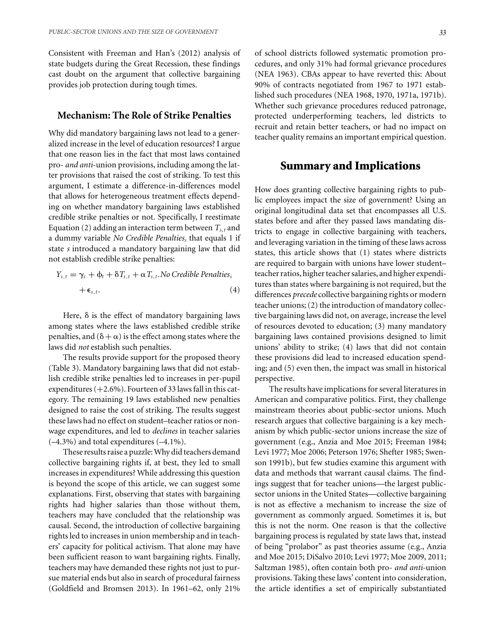Consistent with Freeman and Han's (2012) analysis of state budgets during the Great Recession, these findings cast doubt on the argument that collective bargaining provides job protection during tough times.

## **Mechanism: The Role of Strike Penalties**

Why did mandatory bargaining laws not lead to a generalized increase in the level of education resources? I argue that one reason lies in the fact that most laws contained pro- *and anti*-union provisions, including among the latter provisions that raised the cost of striking. To test this argument, I estimate a difference-in-differences model that allows for heterogeneous treatment effects depending on whether mandatory bargaining laws established credible strike penalties or not. Specifically, I reestimate Equation (2) adding an interaction term between  $T_{s,t}$  and a dummy variable *No Credible Penaltiess* that equals 1 if state *s* introduced a mandatory bargaining law that did not establish credible strike penalties:

$$
Y_{s,t} = \gamma_s + \phi_t + \delta T_{s,t} + \alpha T_{s,t} . No Creditble \text{ Pendities}_s + \epsilon_{s,t} . \tag{4}
$$

Here,  $\delta$  is the effect of mandatory bargaining laws among states where the laws established credible strike penalties, and  $(\delta + \alpha)$  is the effect among states where the laws did *not* establish such penalties.

The results provide support for the proposed theory (Table 3). Mandatory bargaining laws that did not establish credible strike penalties led to increases in per-pupil expenditures  $(+2.6\%)$ . Fourteen of 33 laws fall in this category. The remaining 19 laws established new penalties designed to raise the cost of striking. The results suggest these laws had no effect on student–teacher ratios or nonwage expenditures, and led to *declines* in teacher salaries (–4.3%) and total expenditures (–4.1%).

These results raise a puzzle:Why did teachers demand collective bargaining rights if, at best, they led to small increases in expenditures? While addressing this question is beyond the scope of this article, we can suggest some explanations. First, observing that states with bargaining rights had higher salaries than those without them, teachers may have concluded that the relationship was causal. Second, the introduction of collective bargaining rights led to increases in union membership and in teachers' capacity for political activism. That alone may have been sufficient reason to want bargaining rights. Finally, teachers may have demanded these rights not just to pursue material ends but also in search of procedural fairness (Goldfield and Bromsen 2013). In 1961–62, only 21%

of school districts followed systematic promotion procedures, and only 31% had formal grievance procedures (NEA 1963). CBAs appear to have reverted this: About 90% of contracts negotiated from 1967 to 1971 established such procedures (NEA 1968, 1970, 1971a, 1971b). Whether such grievance procedures reduced patronage, protected underperforming teachers, led districts to recruit and retain better teachers, or had no impact on teacher quality remains an important empirical question.

## **Summary and Implications**

How does granting collective bargaining rights to public employees impact the size of government? Using an original longitudinal data set that encompasses all U.S. states before and after they passed laws mandating districts to engage in collective bargaining with teachers, and leveraging variation in the timing of these laws across states, this article shows that (1) states where districts are required to bargain with unions have lower student– teacher ratios, higher teacher salaries, and higher expenditures than states where bargaining is not required, but the differences *precede* collective bargaining rights or modern teacher unions; (2) the introduction of mandatory collective bargaining laws did not, on average, increase the level of resources devoted to education; (3) many mandatory bargaining laws contained provisions designed to limit unions' ability to strike; (4) laws that did not contain these provisions did lead to increased education spending; and (5) even then, the impact was small in historical perspective.

The results have implications for several literatures in American and comparative politics. First, they challenge mainstream theories about public-sector unions. Much research argues that collective bargaining is a key mechanism by which public-sector unions increase the size of government (e.g., Anzia and Moe 2015; Freeman 1984; Levi 1977; Moe 2006; Peterson 1976; Shefter 1985; Swenson 1991b), but few studies examine this argument with data and methods that warrant causal claims. The findings suggest that for teacher unions—the largest publicsector unions in the United States—collective bargaining is not as effective a mechanism to increase the size of government as commonly argued. Sometimes it is, but this is not the norm. One reason is that the collective bargaining process is regulated by state laws that, instead of being "prolabor" as past theories assume (e.g., Anzia and Moe 2015; DiSalvo 2010; Levi 1977; Moe 2009, 2011; Saltzman 1985), often contain both pro- *and anti*-union provisions. Taking these laws' content into consideration, the article identifies a set of empirically substantiated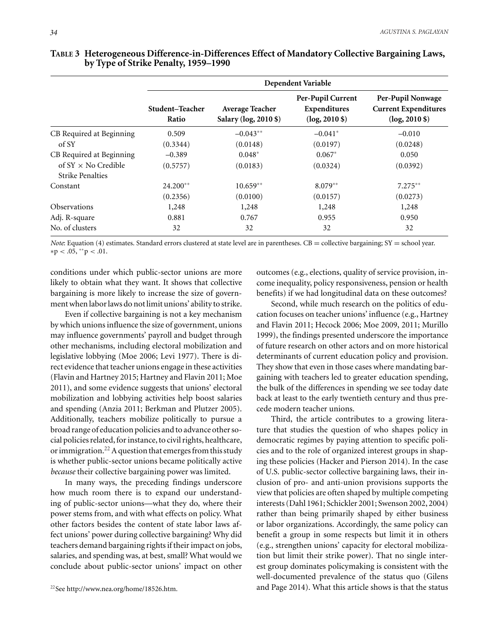## **TABLE 3 Heterogeneous Difference-in-Differences Effect of Mandatory Collective Bargaining Laws, by Type of Strike Penalty, 1959–1990**

|                                                                                   | Dependent Variable       |                                          |                                                                    |                                                                            |  |
|-----------------------------------------------------------------------------------|--------------------------|------------------------------------------|--------------------------------------------------------------------|----------------------------------------------------------------------------|--|
|                                                                                   | Student-Teacher<br>Ratio | Average Teacher<br>Salary (log, 2010 \$) | Per-Pupil Current<br><b>Expenditures</b><br>$(log, 2010 \text{$ }) | Per-Pupil Nonwage<br><b>Current Expenditures</b><br>$(log, 2010 \text{$ }) |  |
| CB Required at Beginning<br>of SY                                                 | 0.509                    | $-0.043**$                               | $-0.041*$                                                          | $-0.010$                                                                   |  |
|                                                                                   | (0.3344)                 | (0.0148)                                 | (0.0197)                                                           | (0.0248)                                                                   |  |
| CB Required at Beginning<br>of $SY \times No$ Credible<br><b>Strike Penalties</b> | $-0.389$                 | $0.048*$                                 | $0.067*$                                                           | 0.050                                                                      |  |
|                                                                                   | (0.5757)                 | (0.0183)                                 | (0.0324)                                                           | (0.0392)                                                                   |  |
| Constant                                                                          | $24.200**$               | $10.659**$                               | $8.079**$                                                          | $7.275**$                                                                  |  |
|                                                                                   | (0.2356)                 | (0.0100)                                 | (0.0157)                                                           | (0.0273)                                                                   |  |
| <b>Observations</b>                                                               | 1,248                    | 1,248                                    | 1,248                                                              | 1,248                                                                      |  |
| Adj. R-square                                                                     | 0.881                    | 0.767                                    | 0.955                                                              | 0.950                                                                      |  |
| No. of clusters                                                                   | 32                       | 32                                       | 32                                                                 | 32                                                                         |  |

*Note*: Equation (4) estimates. Standard errors clustered at state level are in parentheses. CB = collective bargaining; SY = school year. ∗p *<* .05, ∗∗p *<* .01.

conditions under which public-sector unions are more likely to obtain what they want. It shows that collective bargaining is more likely to increase the size of government when labor laws do not limit unions' ability to strike.

Even if collective bargaining is not a key mechanism by which unions influence the size of government, unions may influence governments' payroll and budget through other mechanisms, including electoral mobilization and legislative lobbying (Moe 2006; Levi 1977). There is direct evidence that teacher unions engage in these activities (Flavin and Hartney 2015; Hartney and Flavin 2011; Moe 2011), and some evidence suggests that unions' electoral mobilization and lobbying activities help boost salaries and spending (Anzia 2011; Berkman and Plutzer 2005). Additionally, teachers mobilize politically to pursue a broad range of education policies and to advance other social policies related, for instance, to civil rights, healthcare, or immigration.<sup>22</sup> A question that emerges from this study is whether public-sector unions became politically active *because* their collective bargaining power was limited.

In many ways, the preceding findings underscore how much room there is to expand our understanding of public-sector unions—what they do, where their power stems from, and with what effects on policy. What other factors besides the content of state labor laws affect unions' power during collective bargaining? Why did teachers demand bargaining rights if their impact on jobs, salaries, and spending was, at best, small? What would we conclude about public-sector unions' impact on other outcomes (e.g., elections, quality of service provision, income inequality, policy responsiveness, pension or health benefits) if we had longitudinal data on these outcomes?

Second, while much research on the politics of education focuses on teacher unions' influence (e.g., Hartney and Flavin 2011; Hecock 2006; Moe 2009, 2011; Murillo 1999), the findings presented underscore the importance of future research on other actors and on more historical determinants of current education policy and provision. They show that even in those cases where mandating bargaining with teachers led to greater education spending, the bulk of the differences in spending we see today date back at least to the early twentieth century and thus precede modern teacher unions.

Third, the article contributes to a growing literature that studies the question of who shapes policy in democratic regimes by paying attention to specific policies and to the role of organized interest groups in shaping these policies (Hacker and Pierson 2014). In the case of U.S. public-sector collective bargaining laws, their inclusion of pro- and anti-union provisions supports the view that policies are often shaped by multiple competing interests (Dahl 1961; Schickler 2001; Swenson 2002, 2004) rather than being primarily shaped by either business or labor organizations. Accordingly, the same policy can benefit a group in some respects but limit it in others (e.g., strengthen unions' capacity for electoral mobilization but limit their strike power). That no single interest group dominates policymaking is consistent with the well-documented prevalence of the status quo (Gilens and Page 2014). What this article shows is that the status

<sup>22</sup>See [http://www.nea.org/home/18526.htm.](http://www.nea.org/home/18526.htm)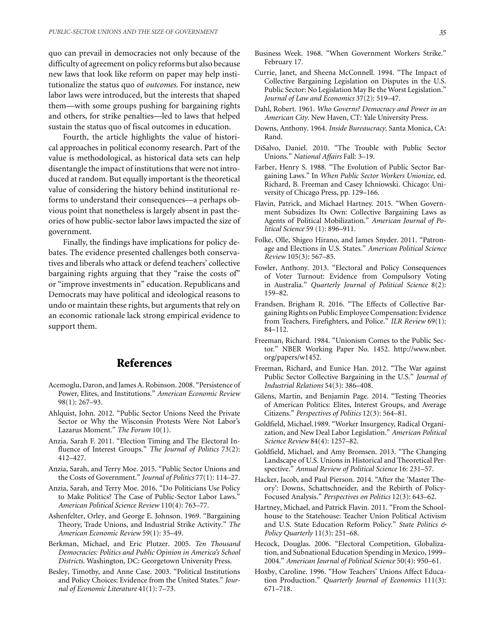quo can prevail in democracies not only because of the difficulty of agreement on policy reforms but also because new laws that look like reform on paper may help institutionalize the status quo of *outcomes*. For instance, new labor laws were introduced, but the interests that shaped them—with some groups pushing for bargaining rights and others, for strike penalties—led to laws that helped sustain the status quo of fiscal outcomes in education.

Fourth, the article highlights the value of historical approaches in political economy research. Part of the value is methodological, as historical data sets can help disentangle the impact of institutions that were not introduced at random. But equally important is the theoretical value of considering the history behind institutional reforms to understand their consequences—a perhaps obvious point that nonetheless is largely absent in past theories of how public-sector labor laws impacted the size of government.

Finally, the findings have implications for policy debates. The evidence presented challenges both conservatives and liberals who attack or defend teachers' collective bargaining rights arguing that they "raise the costs of" or "improve investments in" education. Republicans and Democrats may have political and ideological reasons to undo or maintain these rights, but arguments that rely on an economic rationale lack strong empirical evidence to support them.

## **References**

- Acemoglu, Daron, and James A. Robinson. 2008. "Persistence of Power, Elites, and Institutions." *American Economic Review* 98(1): 267–93.
- Ahlquist, John. 2012. "Public Sector Unions Need the Private Sector or Why the Wisconsin Protests Were Not Labor's Lazarus Moment." *The Forum* 10(1).
- Anzia, Sarah F. 2011. "Election Timing and The Electoral Influence of Interest Groups." *The Journal of Politics* 73(2): 412–427.
- Anzia, Sarah, and Terry Moe. 2015. "Public Sector Unions and the Costs of Government." *Journal of Politics* 77(1): 114–27.
- Anzia, Sarah, and Terry Moe. 2016. "Do Politicians Use Policy to Make Politics? The Case of Public-Sector Labor Laws." *American Political Science Review* 110(4): 763–77.
- Ashenfelter, Orley, and George E. Johnson. 1969. "Bargaining Theory, Trade Unions, and Industrial Strike Activity." *The American Economic Review* 59(1): 35–49.
- Berkman, Michael, and Eric Plutzer. 2005. *Ten Thousand Democracies: Politics and Public Opinion in America's School Districts*. Washington, DC: Georgetown University Press.
- Besley, Timothy, and Anne Case. 2003. "Political Institutions and Policy Choices: Evidence from the United States." *Journal of Economic Literature* 41(1): 7–73.
- Business Week. 1968. "When Government Workers Strike." February 17.
- Currie, Janet, and Sheena McConnell. 1994. "The Impact of Collective Bargaining Legislation on Disputes in the U.S. Public Sector: No Legislation May Be the Worst Legislation." *Journal of Law and Economics* 37(2): 519–47.
- Dahl, Robert. 1961. *Who Governs? Democracy and Power in an American City*. New Haven, CT: Yale University Press.
- Downs, Anthony. 1964. *Inside Bureaucracy*. Santa Monica, CA: Rand.
- DiSalvo, Daniel. 2010. "The Trouble with Public Sector Unions." *National Affairs* Fall: 3–19.
- Farber, Henry S. 1988. "The Evolution of Public Sector Bargaining Laws." In *When Public Sector Workers Unionize*, ed. Richard, B. Freeman and Casey Ichniowski. Chicago: University of Chicago Press, pp. 129–166.
- Flavin, Patrick, and Michael Hartney. 2015. "When Government Subsidizes Its Own: Collective Bargaining Laws as Agents of Political Mobilization." *American Journal of Political Science* 59 (1): 896–911.
- Folke, Olle, Shigeo Hirano, and James Snyder. 2011. "Patronage and Elections in U.S. States." *American Political Science Review* 105(3): 567–85.
- Fowler, Anthony. 2013. "Electoral and Policy Consequences of Voter Turnout: Evidence from Compulsory Voting in Australia." *Quarterly Journal of Political Science* 8(2): 159–82.
- Frandsen, Brigham R. 2016. "The Effects of Collective Bargaining Rights on Public Employee Compensation: Evidence from Teachers, Firefighters, and Police." *ILR Review* 69(1): 84–112.
- Freeman, Richard. 1984. "Unionism Comes to the Public Sector." NBER Working Paper No. 1452. [http://www.nber.](http://www.nber.org/papers/w1452) [org/papers/w1452.](http://www.nber.org/papers/w1452)
- Freeman, Richard, and Eunice Han. 2012. "The War against Public Sector Collective Bargaining in the U.S." *Journal of Industrial Relations* 54(3): 386–408.
- Gilens, Martin, and Benjamin Page. 2014. "Testing Theories of American Politics: Elites, Interest Groups, and Average Citizens." *Perspectives of Politics* 12(3): 564–81.
- Goldfield, Michael.1989. "Worker Insurgency, Radical Organization, and New Deal Labor Legislation." *American Political Science Review* 84(4): 1257–82.
- Goldfield, Michael, and Amy Bromsen. 2013. "The Changing Landscape of U.S. Unions in Historical and Theoretical Perspective." *Annual Review of Political Science* 16: 231–57.
- Hacker, Jacob, and Paul Pierson. 2014. "After the 'Master Theory': Downs, Schattschneider, and the Rebirth of Policy-Focused Analysis." *Perspectives on Politics* 12(3): 643–62.
- Hartney, Michael, and Patrick Flavin. 2011. "From the Schoolhouse to the Statehouse: Teacher Union Political Activism and U.S. State Education Reform Policy." *State Politics & Policy Quarterly* 11(3): 251–68.
- Hecock, Douglas. 2006. "Electoral Competition, Globalization, and Subnational Education Spending in Mexico, 1999– 2004." *American Journal of Political Science* 50(4): 950–61.
- Hoxby, Caroline. 1996. "How Teachers' Unions Affect Education Production." *Quarterly Journal of Economics* 111(3): 671–718.